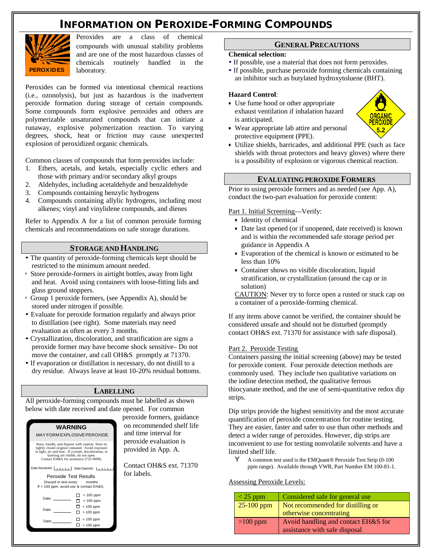# INFORMATION ON PEROXIDE-FORMING COMPOUNDS



Peroxides are a class of chemical compounds with unusual stability problems and are one of the most hazardous classes of chemicals routinely handled in the laboratory.

Peroxides can be formed via intentional chemical reactions (i.e., ozonolysis), but just as hazardous is the inadvertent peroxide formation during storage of certain compounds. Some compounds form explosive peroxides and others are polymerizable unsaturated compounds that can initiate a runaway, explosive polymerization reaction. To varying degrees, shock, heat or friction may cause unexpected explosion of peroxidized organic chemicals.

Common classes of compounds that form peroxides include:

- 1. Ethers, acetals, and ketals, especially cyclic ethers and those with primary and/or secondary alkyl groups
- 2. Aldehydes, including acetaldehyde and benzaldehyde
- 3. Compounds containing benzylic hydrogens
- 4. Compounds containing allylic hydrogens, including most alkenes; vinyl and vinylidene compounds, and dienes

Refer to Appendix A for a list of common peroxide forming chemicals and recommendations on safe storage durations.

# **STORAGE AND HANDLING**

- The quantity of peroxide-forming chemicals kept should be restricted to the minimum amount needed.
- Store peroxide-formers in airtight bottles, away from light and heat. Avoid using containers with loose-fitting lids and glass ground stoppers.
- Group 1 peroxide formers, (see Appendix A), should be stored under nitrogen if possible.
- Evaluate for peroxide formation regularly and always prior to distillation (see right). Some materials may need evaluation as often as every 3 months.
- Crystallization, discoloration, and stratification are signs a peroxide former may have become shock sensitive– Do not move the container, and call OH&S promptly at 71370.
- If evaporation or distillation is necessary, do not distill to a dry residue. Always leave at least 10-20% residual bottoms.

### **LABELLING**

All peroxide-forming compounds must be labelled as shown below with date received and date opened. For common

#### **WARNING**

MAY FORM EXPLOSIVE PEROXIDE

Store, handle, and dispose with caution. Store in<br>tightly closed original container. Avoid exposure<br>to light, air and heat. If crystals, discoloration, or<br>layering are visible, do not open.<br>Contact EH&S for assistance (725

Date Received: DateOpened:: Peroxide Test Results Discard or test every months If > 100 ppm, avoid use & contact EH&S.  $\Box$  < 100 ppm

Date:  $\begin{array}{ccc}\n & \square & < 100 \text{ ppm} \\
& \square & > 100 \text{ ppm}\n\end{array}$ 

 $\Box$  > 100 ppm  $\Box$  < 100 ppm  $\Box$  > 100 ppm

Date: Date:

peroxide evaluation is provided in App. A. Contact OH&S ext. 71370 for labels.

peroxide formers, guidance

on recommended shelf life and time interval for

# **GENERALPRECAUTIONS**

#### **Chemical selection:**

- If possible, use a material that does not form peroxides.
- If possible, purchase peroxide forming chemicals containing an inhibitor such as butylated hydroxytoluene (BHT).

#### **Hazard Control**:

• Use fume hood or other appropriate exhaust ventilation if inhalation hazard is anticipated.



- Wear appropriate lab attire and personal protective equipment (PPE).
- Utilize shields, barricades, and additional PPE (such as face shields with throat protectors and heavy gloves) where there is a possibility of explosion or vigorous chemical reaction.

### **EVALUATING PEROXIDE FORMERS**

Prior to using peroxide formers and as needed (see App. A), conduct the two-part evaluation for peroxide content:

Part 1. Initial Screening—Verify:

- Identity of chemical
- Date last opened (or if unopened, date received) is known and is within the recommended safe storage period per guidance in Appendix A
- Evaporation of the chemical is known or estimated to be less than 10%
- Container shows no visible discoloration, liquid stratification, or crystallization (around the cap or in solution)

CAUTION: Never try to force open a rusted or stuck cap on a container of a peroxide-forming chemical.

If any items above cannot be verified, the container should be considered unsafe and should not be disturbed (promptly contact OH&S ext. 71370 for assistance with safe disposal).

#### Part 2. Peroxide Testing

Containers passing the initial screening (above) may be tested for peroxide content. Four peroxide detection methods are commonly used. They include two qualitative variations on the iodine detection method, the qualitative ferrous thiocyanate method, and the use of semi-quantitative redox dip strips.

Dip strips provide the highest sensitivity and the most accurate quantification of peroxide concentration for routine testing. They are easier, faster and safer to use than other methods and detect a wider range of peroxides. However, dip strips are inconvenient to use for testing nonvolatile solvents and have a limited shelf life.

Y A common test used is the EMOuant<sup>®</sup> Peroxide Test Strip (0-100) ppm range). Available through VWR, Part Number EM 100-81-1.

#### Assessing Peroxide Levels:

| $< 100$ ppm | $\langle 25 \,\mathrm{ppm} \rangle$ | Considered safe for general use     |
|-------------|-------------------------------------|-------------------------------------|
| $> 100$ ppm | $25-100$ ppm                        | Not recommended for distilling or   |
| $< 100$ ppm |                                     |                                     |
| > 100 ppm   |                                     | otherwise concentrating             |
| $< 100$ ppm | $>100$ ppm                          | Avoid handling and contact EH&S for |
| $> 100$ ppm |                                     |                                     |
|             |                                     | assistance with safe disposal       |